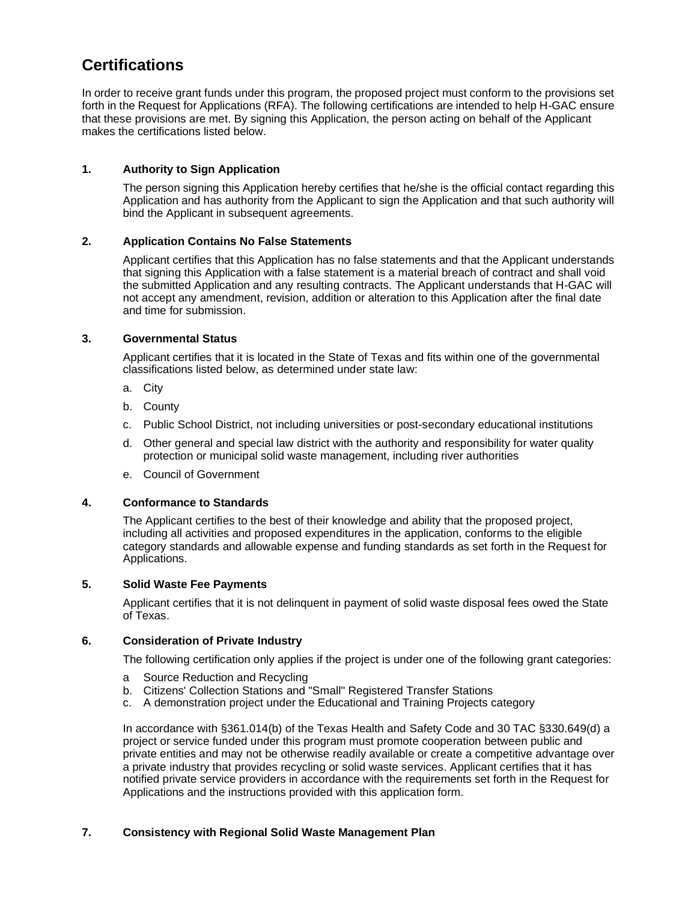# **Certifications**

In order to receive grant funds under this program, the proposed project must conform to the provisions set forth in the Request for Applications (RFA). The following certifications are intended to help H-GAC ensure that these provisions are met. By signing this Application, the person acting on behalf of the Applicant makes the certifications listed below.

## **1. Authority to Sign Application**

The person signing this Application hereby certifies that he/she is the official contact regarding this Application and has authority from the Applicant to sign the Application and that such authority will bind the Applicant in subsequent agreements.

## **2. Application Contains No False Statements**

Applicant certifies that this Application has no false statements and that the Applicant understands that signing this Application with a false statement is a material breach of contract and shall void the submitted Application and any resulting contracts. The Applicant understands that H-GAC will not accept any amendment, revision, addition or alteration to this Application after the final date and time for submission.

#### **3. Governmental Status**

Applicant certifies that it is located in the State of Texas and fits within one of the governmental classifications listed below, as determined under state law:

- a. City
- b. County
- c. Public School District, not including universities or post-secondary educational institutions
- d. Other general and special law district with the authority and responsibility for water quality protection or municipal solid waste management, including river authorities
- e. Council of Government

#### **4. Conformance to Standards**

The Applicant certifies to the best of their knowledge and ability that the proposed project, including all activities and proposed expenditures in the application, conforms to the eligible category standards and allowable expense and funding standards as set forth in the Request for Applications.

#### **5. Solid Waste Fee Payments**

Applicant certifies that it is not delinquent in payment of solid waste disposal fees owed the State of Texas.

#### **6. Consideration of Private Industry**

The following certification only applies if the project is under one of the following grant categories:

- a Source Reduction and Recycling
- b. Citizens' Collection Stations and "Small" Registered Transfer Stations
- c. A demonstration project under the Educational and Training Projects category

In accordance with §361.014(b) of the Texas Health and Safety Code and 30 TAC §330.649(d) a project or service funded under this program must promote cooperation between public and private entities and may not be otherwise readily available or create a competitive advantage over a private industry that provides recycling or solid waste services. Applicant certifies that it has notified private service providers in accordance with the requirements set forth in the Request for Applications and the instructions provided with this application form.

#### **7. Consistency with Regional Solid Waste Management Plan**